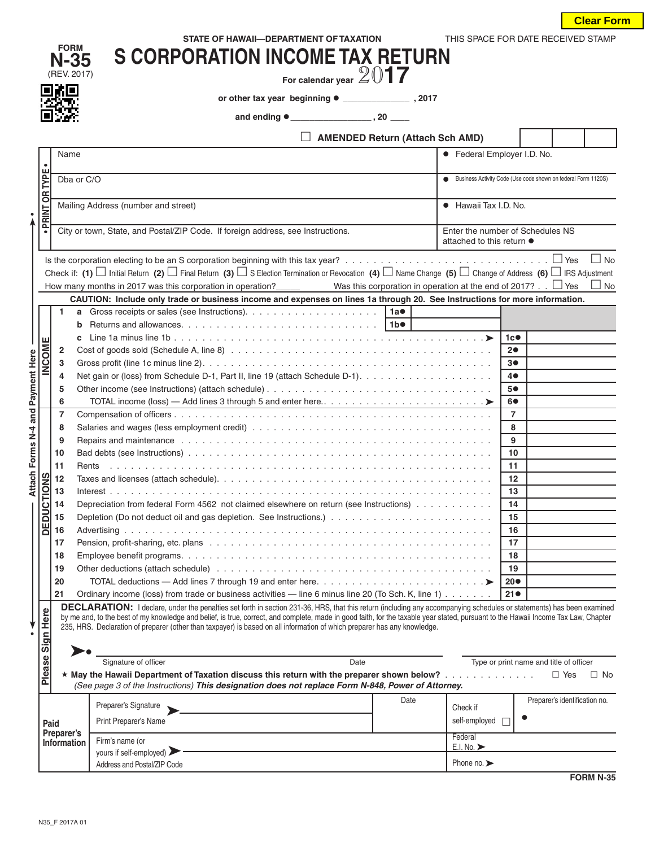|  |  | THIS SPACE FOR DATE RECEIVED ST |  |
|--|--|---------------------------------|--|
|  |  |                                 |  |

| <b>AMENDED Return (Attach Sch AMD)</b><br>• Federal Employer I.D. No.<br>Business Activity Code (Use code shown on federal Form 1120S)<br>• Hawaii Tax I.D. No.<br>Enter the number of Schedules NS<br>attached to this return ●<br>$\Box$ No<br>Check if: (1) $\Box$ Initial Return (2) $\Box$ Final Return (3) $\Box$ S Election Termination or Revocation (4) $\Box$ Name Change (5) $\Box$ Change of Address (6) $\Box$ IRS Adjustment<br>How many months in 2017 was this corporation in operation?<br>Was this corporation in operation at the end of 2017? $\Box$ Yes<br>$\Box$ No<br>CAUTION: Include only trade or business income and expenses on lines 1a through 20. See Instructions for more information.<br>1c<br>20<br>30<br>Net gain or (loss) from Schedule D-1, Part II, line 19 (attach Schedule D-1).<br>40 |
|----------------------------------------------------------------------------------------------------------------------------------------------------------------------------------------------------------------------------------------------------------------------------------------------------------------------------------------------------------------------------------------------------------------------------------------------------------------------------------------------------------------------------------------------------------------------------------------------------------------------------------------------------------------------------------------------------------------------------------------------------------------------------------------------------------------------------------|
|                                                                                                                                                                                                                                                                                                                                                                                                                                                                                                                                                                                                                                                                                                                                                                                                                                  |
|                                                                                                                                                                                                                                                                                                                                                                                                                                                                                                                                                                                                                                                                                                                                                                                                                                  |
|                                                                                                                                                                                                                                                                                                                                                                                                                                                                                                                                                                                                                                                                                                                                                                                                                                  |
|                                                                                                                                                                                                                                                                                                                                                                                                                                                                                                                                                                                                                                                                                                                                                                                                                                  |
|                                                                                                                                                                                                                                                                                                                                                                                                                                                                                                                                                                                                                                                                                                                                                                                                                                  |
|                                                                                                                                                                                                                                                                                                                                                                                                                                                                                                                                                                                                                                                                                                                                                                                                                                  |
|                                                                                                                                                                                                                                                                                                                                                                                                                                                                                                                                                                                                                                                                                                                                                                                                                                  |
|                                                                                                                                                                                                                                                                                                                                                                                                                                                                                                                                                                                                                                                                                                                                                                                                                                  |
|                                                                                                                                                                                                                                                                                                                                                                                                                                                                                                                                                                                                                                                                                                                                                                                                                                  |
|                                                                                                                                                                                                                                                                                                                                                                                                                                                                                                                                                                                                                                                                                                                                                                                                                                  |
|                                                                                                                                                                                                                                                                                                                                                                                                                                                                                                                                                                                                                                                                                                                                                                                                                                  |
|                                                                                                                                                                                                                                                                                                                                                                                                                                                                                                                                                                                                                                                                                                                                                                                                                                  |
|                                                                                                                                                                                                                                                                                                                                                                                                                                                                                                                                                                                                                                                                                                                                                                                                                                  |
|                                                                                                                                                                                                                                                                                                                                                                                                                                                                                                                                                                                                                                                                                                                                                                                                                                  |
|                                                                                                                                                                                                                                                                                                                                                                                                                                                                                                                                                                                                                                                                                                                                                                                                                                  |
|                                                                                                                                                                                                                                                                                                                                                                                                                                                                                                                                                                                                                                                                                                                                                                                                                                  |
| 5●                                                                                                                                                                                                                                                                                                                                                                                                                                                                                                                                                                                                                                                                                                                                                                                                                               |
|                                                                                                                                                                                                                                                                                                                                                                                                                                                                                                                                                                                                                                                                                                                                                                                                                                  |
|                                                                                                                                                                                                                                                                                                                                                                                                                                                                                                                                                                                                                                                                                                                                                                                                                                  |
|                                                                                                                                                                                                                                                                                                                                                                                                                                                                                                                                                                                                                                                                                                                                                                                                                                  |
|                                                                                                                                                                                                                                                                                                                                                                                                                                                                                                                                                                                                                                                                                                                                                                                                                                  |
|                                                                                                                                                                                                                                                                                                                                                                                                                                                                                                                                                                                                                                                                                                                                                                                                                                  |
|                                                                                                                                                                                                                                                                                                                                                                                                                                                                                                                                                                                                                                                                                                                                                                                                                                  |
|                                                                                                                                                                                                                                                                                                                                                                                                                                                                                                                                                                                                                                                                                                                                                                                                                                  |
| 12                                                                                                                                                                                                                                                                                                                                                                                                                                                                                                                                                                                                                                                                                                                                                                                                                               |
| 13                                                                                                                                                                                                                                                                                                                                                                                                                                                                                                                                                                                                                                                                                                                                                                                                                               |
| Depreciation from federal Form 4562 not claimed elsewhere on return (see Instructions)<br>14                                                                                                                                                                                                                                                                                                                                                                                                                                                                                                                                                                                                                                                                                                                                     |
| $\overline{15}$                                                                                                                                                                                                                                                                                                                                                                                                                                                                                                                                                                                                                                                                                                                                                                                                                  |
| 16<br>17                                                                                                                                                                                                                                                                                                                                                                                                                                                                                                                                                                                                                                                                                                                                                                                                                         |
| 18                                                                                                                                                                                                                                                                                                                                                                                                                                                                                                                                                                                                                                                                                                                                                                                                                               |
| 19                                                                                                                                                                                                                                                                                                                                                                                                                                                                                                                                                                                                                                                                                                                                                                                                                               |
| $20\bullet$                                                                                                                                                                                                                                                                                                                                                                                                                                                                                                                                                                                                                                                                                                                                                                                                                      |
| 60<br>$\overline{7}$<br>8<br>Repairs and maintenance enterpreteration of the contract of the contract of the contract of the contract of the contract of the contract of the contract of the contract of the contract of the contract of the contract of th<br>9<br>10<br>11                                                                                                                                                                                                                                                                                                                                                                                                                                                                                                                                                     |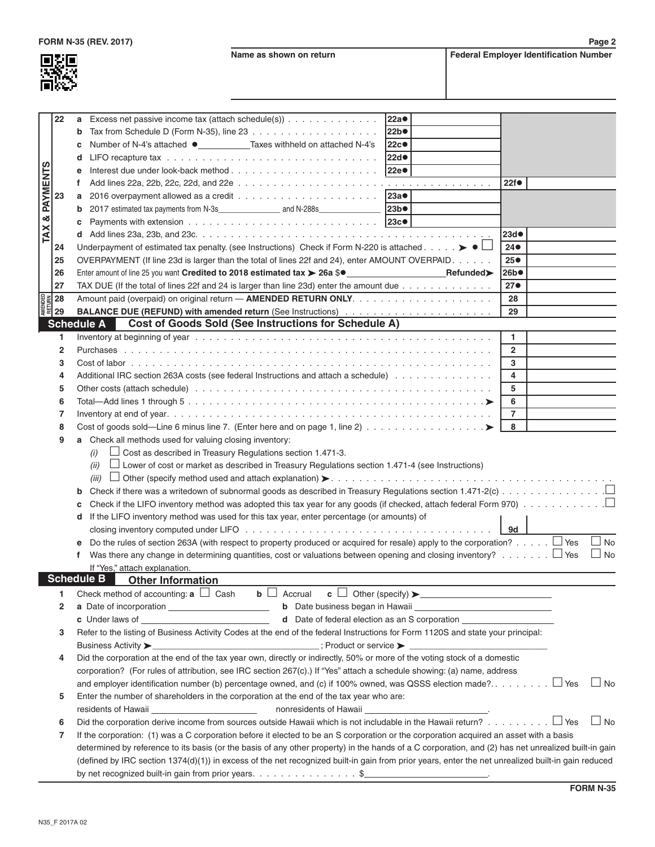**FORM N-35 (REV. 2017) Page 2**

**Name as shown on return Federal Employer Identification Number** 



|                           | 22           | Excess net passive income tax (attach schedule(s))<br>a                                                                                                                                                                                 | 22a <sup>o</sup> |                 |
|---------------------------|--------------|-----------------------------------------------------------------------------------------------------------------------------------------------------------------------------------------------------------------------------------------|------------------|-----------------|
|                           |              | b                                                                                                                                                                                                                                       | 22b              |                 |
|                           |              | Number of N-4's attached ● _____________Taxes withheld on attached N-4's<br>c                                                                                                                                                           | 22c <sup>o</sup> |                 |
|                           |              | d                                                                                                                                                                                                                                       | 22d              |                 |
|                           |              |                                                                                                                                                                                                                                         | 22e <sup>®</sup> |                 |
| PAYMENTS                  |              | f                                                                                                                                                                                                                                       |                  | 22f             |
|                           | 23           | a                                                                                                                                                                                                                                       | 23a              |                 |
|                           |              | b                                                                                                                                                                                                                                       | 23b              |                 |
| ళ                         |              | c                                                                                                                                                                                                                                       | 23c              |                 |
| TAX                       |              | d                                                                                                                                                                                                                                       |                  | 23d             |
|                           | 24           | Underpayment of estimated tax penalty. (see Instructions) Check if Form N-220 is attached $\blacktriangleright \blacktriangleleft \Box$                                                                                                 |                  | $24\bullet$     |
|                           | 25           | OVERPAYMENT (If line 23d is larger than the total of lines 22f and 24), enter AMOUNT OVERPAID.                                                                                                                                          |                  | 25 <sub>•</sub> |
|                           | 26           | Enter amount of line 25 you want Credited to 2018 estimated tax > 26a \$ <sup>o</sup>                                                                                                                                                   |                  | 26b             |
|                           | 27           | TAX DUE (If the total of lines 22f and 24 is larger than line 23d) enter the amount due                                                                                                                                                 |                  | 27 <sub>•</sub> |
|                           |              |                                                                                                                                                                                                                                         |                  | 28              |
| EDEN<br>MENDE<br>ANELE 29 |              |                                                                                                                                                                                                                                         |                  | 29              |
|                           |              | <b>Cost of Goods Sold (See Instructions for Schedule A)</b><br><b>Schedule A</b>                                                                                                                                                        |                  |                 |
|                           | 1            |                                                                                                                                                                                                                                         |                  | 1               |
|                           | $\mathbf{2}$ |                                                                                                                                                                                                                                         |                  | $\overline{2}$  |
|                           | 3            |                                                                                                                                                                                                                                         |                  | 3               |
|                           | 4            | Additional IRC section 263A costs (see federal Instructions and attach a schedule)                                                                                                                                                      |                  | 4               |
|                           | 5            |                                                                                                                                                                                                                                         |                  | 5               |
|                           | 6            |                                                                                                                                                                                                                                         |                  | 6               |
|                           | 7            |                                                                                                                                                                                                                                         |                  | $\overline{7}$  |
|                           | 8            |                                                                                                                                                                                                                                         | 8                |                 |
|                           | 9            | a Check all methods used for valuing closing inventory:                                                                                                                                                                                 |                  |                 |
|                           |              | $\Box$ Cost as described in Treasury Regulations section 1.471-3.                                                                                                                                                                       |                  |                 |
|                           |              | (i)<br>$\Box$ Lower of cost or market as described in Treasury Regulations section 1.471-4 (see Instructions)                                                                                                                           |                  |                 |
|                           |              | (ii)                                                                                                                                                                                                                                    |                  |                 |
|                           |              | (iii)                                                                                                                                                                                                                                   |                  |                 |
|                           |              | b                                                                                                                                                                                                                                       |                  |                 |
|                           |              | c                                                                                                                                                                                                                                       |                  |                 |
|                           |              | If the LIFO inventory method was used for this tax year, enter percentage (or amounts) of<br>d                                                                                                                                          |                  |                 |
|                           |              |                                                                                                                                                                                                                                         |                  | 9d              |
|                           |              | Do the rules of section 263A (with respect to property produced or acquired for resale) apply to the corporation? $\Box$ Yes                                                                                                            |                  | $\Box$ No       |
|                           |              | f.                                                                                                                                                                                                                                      |                  | $\Box$ No       |
|                           |              | If "Yes," attach explanation.<br><b>Schedule B</b>                                                                                                                                                                                      |                  |                 |
|                           |              | <b>Other Information</b><br>Check method of accounting: $a \Box$ Cash<br>$\mathbf{b} \Box$ Accrual $\mathbf{c} \Box$ Other (specify) $\blacktriangleright$                                                                              |                  |                 |
|                           | 1            |                                                                                                                                                                                                                                         |                  |                 |
|                           | $\mathbf{2}$ | c Under laws of example and the contract of the Date of federal election as an S corporation                                                                                                                                            |                  |                 |
|                           |              |                                                                                                                                                                                                                                         |                  |                 |
|                           | 3            | Refer to the listing of Business Activity Codes at the end of the federal Instructions for Form 1120S and state your principal:<br>Business Activity >_________________________________; Product or service > _________________________ |                  |                 |
|                           |              |                                                                                                                                                                                                                                         |                  |                 |
|                           | 4            | Did the corporation at the end of the tax year own, directly or indirectly, 50% or more of the voting stock of a domestic                                                                                                               |                  |                 |
|                           |              | corporation? (For rules of attribution, see IRC section 267(c).) If "Yes" attach a schedule showing: (a) name, address                                                                                                                  |                  |                 |
|                           |              |                                                                                                                                                                                                                                         |                  | $\Box$ No       |
|                           | 5            | Enter the number of shareholders in the corporation at the end of the tax year who are:                                                                                                                                                 |                  |                 |
|                           |              |                                                                                                                                                                                                                                         |                  |                 |
|                           | 6            | Did the corporation derive income from sources outside Hawaii which is not includable in the Hawaii return? $\Box$ Yes                                                                                                                  |                  | $\Box$ No       |
|                           | 7            | If the corporation: (1) was a C corporation before it elected to be an S corporation or the corporation acquired an asset with a basis                                                                                                  |                  |                 |
|                           |              | determined by reference to its basis (or the basis of any other property) in the hands of a C corporation, and (2) has net unrealized built-in gain                                                                                     |                  |                 |
|                           |              | (defined by IRC section 1374(d)(1)) in excess of the net recognized built-in gain from prior years, enter the net unrealized built-in gain reduced                                                                                      |                  |                 |
|                           |              | by net recognized built-in gain from prior years. \$                                                                                                                                                                                    |                  |                 |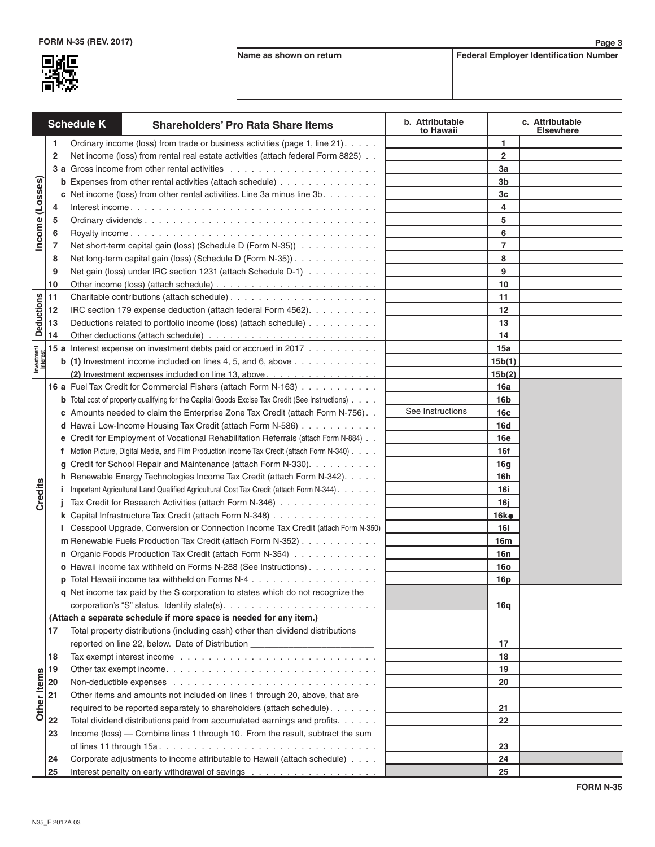

**Page 3**

| <b>Schedule K</b>      |                | <b>Shareholders' Pro Rata Share Items</b>                                                             | b. Attributable<br>to Hawaii |                 | c. Attributable<br><b>Elsewhere</b> |
|------------------------|----------------|-------------------------------------------------------------------------------------------------------|------------------------------|-----------------|-------------------------------------|
|                        | 1              | Ordinary income (loss) from trade or business activities (page 1, line 21).                           |                              | 1               |                                     |
|                        | $\overline{2}$ | Net income (loss) from rental real estate activities (attach federal Form 8825).                      |                              | $\overline{2}$  |                                     |
|                        |                |                                                                                                       |                              | За              |                                     |
|                        |                | <b>b</b> Expenses from other rental activities (attach schedule)                                      |                              | 3b              |                                     |
| Income (Losses)        |                | c Net income (loss) from other rental activities. Line 3a minus line $3b. \ldots \ldots$              |                              | Зc              |                                     |
|                        | 4              |                                                                                                       |                              | 4               |                                     |
|                        | 5              |                                                                                                       |                              | 5               |                                     |
|                        | 6              |                                                                                                       |                              | 6               |                                     |
|                        | 7              | Net short-term capital gain (loss) (Schedule D (Form N-35))                                           |                              | 7               |                                     |
|                        | 8              | Net long-term capital gain (loss) (Schedule D (Form N-35))                                            |                              | 8               |                                     |
|                        | 9              | Net gain (loss) under IRC section 1231 (attach Schedule D-1)                                          |                              | 9               |                                     |
|                        | 10             |                                                                                                       |                              | 10              |                                     |
|                        | 11             |                                                                                                       |                              | 11              |                                     |
|                        | 12             | IRC section 179 expense deduction (attach federal Form 4562).                                         |                              | 12              |                                     |
| <b>Deductions</b>      | 13             | Deductions related to portfolio income (loss) (attach schedule)                                       |                              | 13              |                                     |
|                        | 14             |                                                                                                       |                              | 14              |                                     |
|                        |                | 15 a Interest expense on investment debts paid or accrued in 2017                                     |                              | 15a             |                                     |
| Investment<br>Interest |                | <b>b</b> (1) Investment income included on lines 4, 5, and 6, above $\dots \dots \dots \dots$         |                              | 15b(1)          |                                     |
|                        |                | (2) Investment expenses included on line 13, above.                                                   |                              | 15b(2)          |                                     |
|                        |                | 16 a Fuel Tax Credit for Commercial Fishers (attach Form N-163)                                       |                              | 16a             |                                     |
|                        |                | <b>b</b> Total cost of property qualifying for the Capital Goods Excise Tax Credit (See Instructions) |                              | 16 <sub>b</sub> |                                     |
|                        |                | c Amounts needed to claim the Enterprise Zone Tax Credit (attach Form N-756)                          | See Instructions             | 16c             |                                     |
|                        |                | d Hawaii Low-Income Housing Tax Credit (attach Form N-586)                                            |                              | <b>16d</b>      |                                     |
|                        | е              | Credit for Employment of Vocational Rehabilitation Referrals (attach Form N-884)                      |                              | <b>16e</b>      |                                     |
|                        | f              | Motion Picture, Digital Media, and Film Production Income Tax Credit (attach Form N-340)              |                              | 16f             |                                     |
|                        | g              | Credit for School Repair and Maintenance (attach Form N-330).                                         |                              | 16 <sub>g</sub> |                                     |
|                        |                | h Renewable Energy Technologies Income Tax Credit (attach Form N-342).                                |                              | 16h             |                                     |
| Credits                |                | Important Agricultural Land Qualified Agricultural Cost Tax Credit (attach Form N-344).               |                              | 16i             |                                     |
|                        |                | Tax Credit for Research Activities (attach Form N-346)                                                |                              | 16j             |                                     |
|                        |                | k Capital Infrastructure Tax Credit (attach Form N-348)                                               |                              | 16ko            |                                     |
|                        |                | Cesspool Upgrade, Conversion or Connection Income Tax Credit (attach Form N-350)                      |                              | <b>16I</b>      |                                     |
|                        |                | m Renewable Fuels Production Tax Credit (attach Form N-352)                                           |                              | 16m             |                                     |
|                        |                | n Organic Foods Production Tax Credit (attach Form N-354)                                             |                              | 16n             |                                     |
|                        |                | o Hawaii income tax withheld on Forms N-288 (See Instructions).                                       |                              | <b>16o</b>      |                                     |
|                        |                |                                                                                                       |                              | 16p             |                                     |
|                        |                | q Net income tax paid by the S corporation to states which do not recognize the                       |                              |                 |                                     |
|                        |                |                                                                                                       |                              | 16q             |                                     |
|                        |                | (Attach a separate schedule if more space is needed for any item.)                                    |                              |                 |                                     |
|                        | 17             | Total property distributions (including cash) other than dividend distributions                       |                              |                 |                                     |
|                        |                | reported on line 22, below. Date of Distribution _______________________________                      |                              | 17              |                                     |
|                        | 18             |                                                                                                       |                              | 18              |                                     |
|                        | 19             |                                                                                                       |                              | 19              |                                     |
|                        | 20             |                                                                                                       |                              | 20              |                                     |
|                        | 21             | Other items and amounts not included on lines 1 through 20, above, that are                           |                              |                 |                                     |
| Other Items            |                | required to be reported separately to shareholders (attach schedule).                                 |                              | 21<br>22        |                                     |
|                        | 22             | Total dividend distributions paid from accumulated earnings and profits.                              |                              |                 |                                     |
|                        | 23             | Income (loss) — Combine lines 1 through 10. From the result, subtract the sum                         |                              |                 |                                     |
|                        |                |                                                                                                       |                              | 23<br>24        |                                     |
|                        | 24             | Corporate adjustments to income attributable to Hawaii (attach schedule)                              |                              |                 |                                     |
|                        | 25             |                                                                                                       |                              | 25              |                                     |